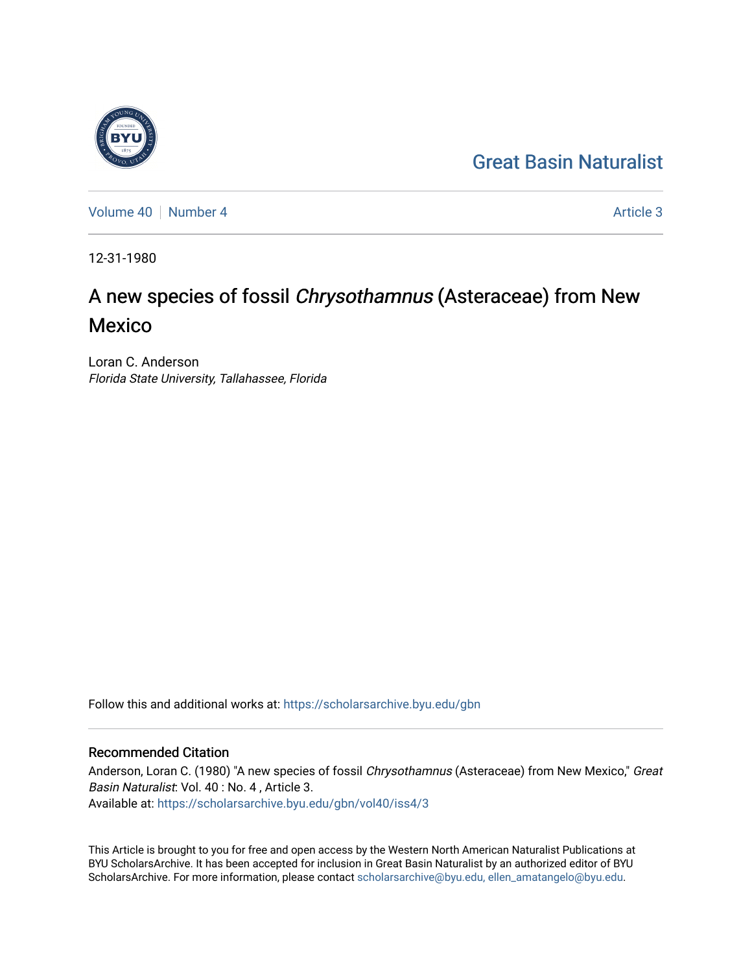## [Great Basin Naturalist](https://scholarsarchive.byu.edu/gbn)

[Volume 40](https://scholarsarchive.byu.edu/gbn/vol40) | [Number 4](https://scholarsarchive.byu.edu/gbn/vol40/iss4) Article 3

12-31-1980

# A new species of fossil Chrysothamnus (Asteraceae) from New Mexico

Loran C. Anderson Florida State University, Tallahassee, Florida

Follow this and additional works at: [https://scholarsarchive.byu.edu/gbn](https://scholarsarchive.byu.edu/gbn?utm_source=scholarsarchive.byu.edu%2Fgbn%2Fvol40%2Fiss4%2F3&utm_medium=PDF&utm_campaign=PDFCoverPages) 

### Recommended Citation

Anderson, Loran C. (1980) "A new species of fossil Chrysothamnus (Asteraceae) from New Mexico," Great Basin Naturalist: Vol. 40 : No. 4 , Article 3. Available at: [https://scholarsarchive.byu.edu/gbn/vol40/iss4/3](https://scholarsarchive.byu.edu/gbn/vol40/iss4/3?utm_source=scholarsarchive.byu.edu%2Fgbn%2Fvol40%2Fiss4%2F3&utm_medium=PDF&utm_campaign=PDFCoverPages)

This Article is brought to you for free and open access by the Western North American Naturalist Publications at BYU ScholarsArchive. It has been accepted for inclusion in Great Basin Naturalist by an authorized editor of BYU ScholarsArchive. For more information, please contact [scholarsarchive@byu.edu, ellen\\_amatangelo@byu.edu.](mailto:scholarsarchive@byu.edu,%20ellen_amatangelo@byu.edu)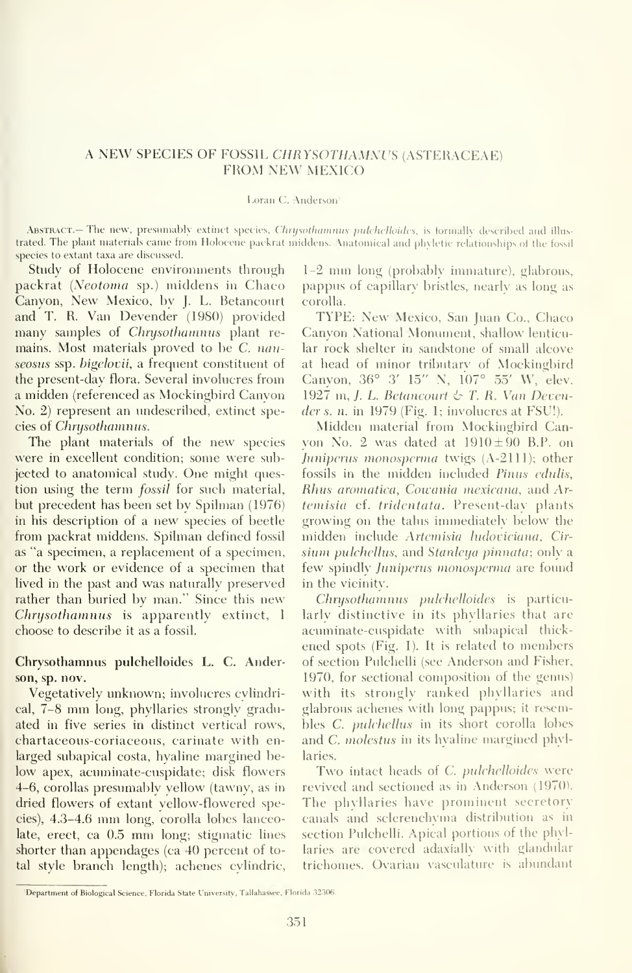### A NEW SPECIES OF FOSSIL CHRYSOTHAMNUS (ASTERACEAE) FROM NEW MEXICO

#### Loran C. Anderson'

**ABSTRACT.— The new, presumably extinct species, Chrysothamnus putchelloides, is tormally described and illus**trated. The plant materials came from Holocene packrat middens. Anatomical and phyletic relationships of the fossil species to extant taxa are discussed.

Study of Holoeene environments through packrat {Neotoma sp.) middens in Chaco Canyon, New Mexico, by J. L. Betancourt and T. R. Van Devender (1980) provided many samples of Chrysothamnus plant re mains. Most materials proved to be C. nauseosus ssp. bigelovii, a frequent constituent of the present-day flora. Several involucres from a midden (referenced as Mockingbird Canyon No. 2) represent an undescribed, extinct species of Chrysothamnus.

The plant materials of the new species were in excellent condition; some were subjected to anatomical study. One might question using the term *fossil* for such material, but precedent has been set by Spilman (1976) in his description of a new species of beetle from packrat middens. Spilman defined fossil as "a specimen, a replacement of a specimen, or the work or evidence of a specimen that lived in the past and was naturally preserved rather than buried by man." Since this new Chrysothamnus is apparently extinct, <sup>I</sup> choose to describe it as a fossil.

#### Chrysothamnus pulchelloides L. C. Anderson, sp. nov.

Vegetatively unknown; involucres cylindrical, 7-8 mm long, phyllaries strongly graduated in five series in distinct vertical rows, chartaceous-coriaceous, carinate with enlarged subapical costa, hyaline margined below apex, acuminate-cuspidate; disk flowers 4-6, corollas presumably yellow (tawny, as in dried flowers of extant yellow-flowered species), 4.3-4.6 mm long, corolla lobes lanceolate, erect, ca 0.5 mm long; stigmatic lines shorter than appendages (ca 40 percent of total style branch length); achenes cylindric.

1-2 mm long (probably inunature), glabrous, pappus of capillary bristles, nearlv as long as corolla.

TYPE: New Mexico, San Juan Co., Chaco Canyon National Monument, shallow lenticular rock shelter in sandstone of small alcove at head of minor tributarv of Mockingbird Canyon, 36° 3' 15" N, 107° 55' W, elev. 1927 m, J. L. Betancourt  $\&$  T. R. Van Devender s. n. in 1979 (Fig. 1; involucres at FSU!).

Midden material from Mockingbird Canvon No. 2 was dated at  $1910 \pm 90$  B.P. on Juniperus monosperma twigs  $(A-2111)$ ; other fossils in the midden included Pinus edulis, Rhus aromatica, Cowania mexicana, and Ar temisia cf. tridentata. Present-day plants growing on the talus immediatelv below the midden include Artemisia ludoviciana, Cirsium pulchellus, and Stanleya pinnata; only a few spindly *Juniperus monosperma* are found in the vicinity.

Chrysothamnus pulchelloides is particularly distinctive in its phyllaries that are acuminate-cuspidate with subapical thick ened spots (Fig. 1). It is related to members of section Pulchelli (see Anderson and Fisher, 1970, for sectional composition of the genus) with its strongly ranked phyllaries and glabrous achenes with long pappus; it resembles C. pulchellus in its short corolla lobes and C. molestus in its hyaline margined phyllaries.

Two intact heads of C. pulchelloides were revived and sectioned as in Anderson (1970). The phyllaries have prominent secretory canals and sclerenchyma distribution as in section Pulchelli. Apical portions of the phyllaries are covered adaxially with glandniar trichomes. Ovarian vasculature is abundant

<sup>&#</sup>x27;Department of Biological Science. Florida State University'. Tallahassee. Florida 32306.